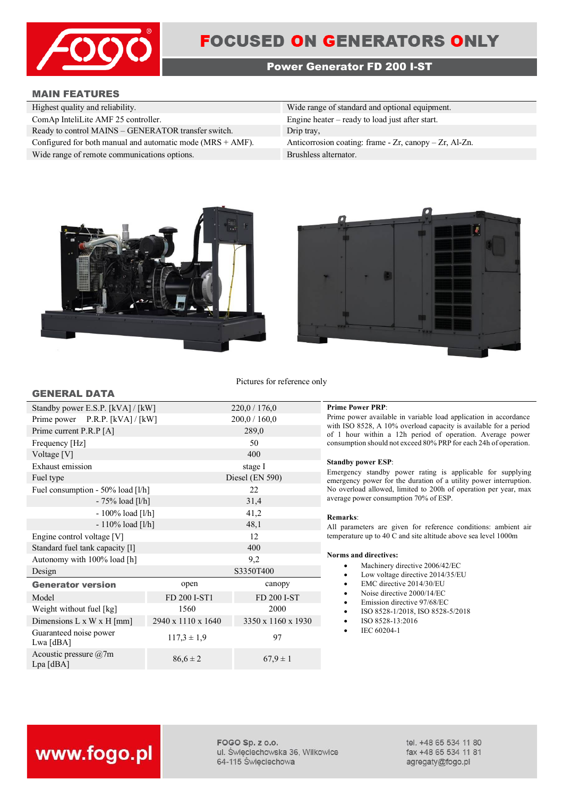

## **FOCUSED ON GENERATORS ONLY**

### **Power Generator FD 200 I-ST**

### **MAIN FEATURES**

**GENERAL DATA**

| Highest quality and reliability.                              | Wide range of standard and optional equipment.               |
|---------------------------------------------------------------|--------------------------------------------------------------|
| ComAp InteliLite AMF 25 controller.                           | Engine heater $-$ ready to load just after start.            |
| Ready to control MAINS – GENERATOR transfer switch.           | Drip tray,                                                   |
| Configured for both manual and automatic mode $(MRS + AMF)$ . | Anticorrosion coating: frame - $Zr$ , canopy - $Zr$ , Al-Zn. |
| Wide range of remote communications options.                  | Brushless alternator.                                        |





Pictures for reference only

| Standby power E.S.P. [kVA] / [kW]          |                    | 220,0 / 176,0      |  |
|--------------------------------------------|--------------------|--------------------|--|
| Prime power P.R.P. [kVA] / [kW]            |                    | 200,0 / 160,0      |  |
| Prime current P.R.P [A]                    |                    | 289,0              |  |
| Frequency [Hz]                             |                    | 50                 |  |
| Voltage [V]                                |                    | 400                |  |
| Exhaust emission                           |                    | stage I            |  |
| Fuel type                                  |                    | Diesel (EN 590)    |  |
| Fuel consumption - 50% load [l/h]          |                    | 22                 |  |
| $-75%$ load [l/h]                          |                    | 31,4               |  |
| - 100% load [l/h]                          |                    | 41,2               |  |
| $-110\%$ load [l/h]                        |                    | 48,1               |  |
| Engine control voltage [V]                 |                    | 12                 |  |
| Standard fuel tank capacity [1]            |                    | 400                |  |
| Autonomy with 100% load [h]                |                    | 9,2                |  |
| Design                                     |                    | S3350T400          |  |
| <b>Generator version</b>                   | open               | canopy             |  |
| Model                                      | FD 200 I-ST1       | FD 200 I-ST        |  |
| Weight without fuel [kg]                   | 1560               | 2000               |  |
| Dimensions L x W x H [mm]                  | 2940 x 1110 x 1640 | 3350 x 1160 x 1930 |  |
| Guaranteed noise power<br>Lwa [dBA]        | $117,3 \pm 1,9$    | 97                 |  |
| Acoustic pressure $\omega$ 7m<br>Lpa [dBA] | $86,6 \pm 2$       | $67.9 \pm 1$       |  |

### **Prime Power PRP:**

Prime power available in variable load application in accordance with ISO 8528, A 10% overload capacity is available for a period of 1 hour within a 12h period of operation. Average power consumption should not exceed 80% PRP for each 24h of operation.

### **Standby power ESP**:

Emergency standby power rating is applicable for supplying emergency power for the duration of a utility power interruption. No overload allowed, limited to 200h of operation per year, max average power consumption 70% of ESP.

### **Remarks**:

All parameters are given for reference conditions: ambient air temperature up to 40 C and site altitude above sea level 1000m

### **Norms and directives:**

- Machinery directive 2006/42/EC
- Low voltage directive 2014/35/EU
- EMC directive 2014/30/EU
- Noise directive 2000/14/EC
- Emission directive 97/68/EC
- ISO 8528-1/2018, ISO 8528-5/2018
- ISO 8528-13:2016
- IEC 60204-1

# www.fogo.pl

FOGO Sp. z o.o. ul. Świeciechowska 36, Wilkowice 64-115 Święciechowa

tel. +48 65 534 11 80 fax +48 65 534 11 81 agregaty@fogo.pl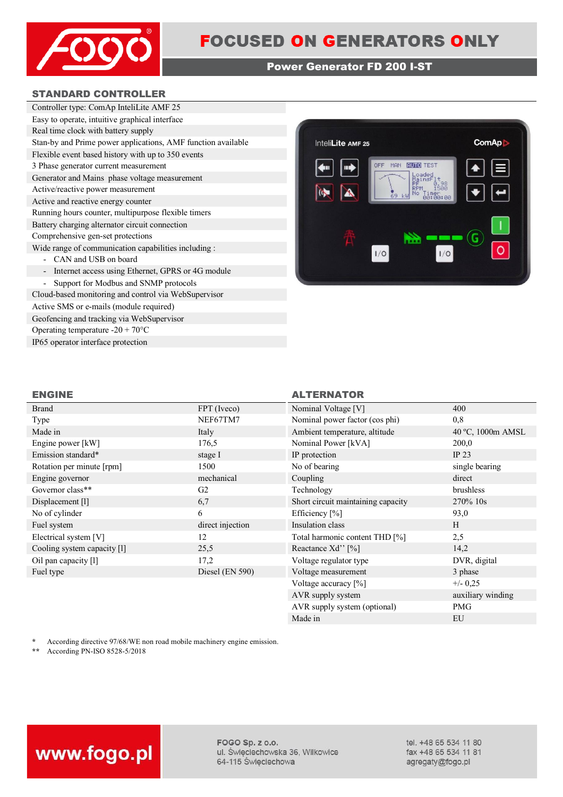

### **Power Generator FD 200 I-ST**

### **STANDARD CONTROLLER**

| Controller type: ComAp InteliLite AMF 25                                      |  |  |
|-------------------------------------------------------------------------------|--|--|
| Easy to operate, intuitive graphical interface                                |  |  |
| Real time clock with battery supply                                           |  |  |
| Stan-by and Prime power applications, AMF function available                  |  |  |
| Flexible event based history with up to 350 events                            |  |  |
| 3 Phase generator current measurement                                         |  |  |
| Generator and Mains phase voltage measurement                                 |  |  |
| Active/reactive power measurement                                             |  |  |
| Active and reactive energy counter                                            |  |  |
| Running hours counter, multipurpose flexible timers                           |  |  |
| Battery charging alternator circuit connection                                |  |  |
| Comprehensive gen-set protections                                             |  |  |
| Wide range of communication capabilities including :                          |  |  |
| CAN and USB on board                                                          |  |  |
| Internet access using Ethernet, GPRS or 4G module<br>$\overline{\phantom{0}}$ |  |  |
| Support for Modbus and SNMP protocols                                         |  |  |
| Cloud-based monitoring and control via WebSupervisor                          |  |  |

Active SMS or e-mails (module required) Geofencing and tracking via WebSupervisor Operating temperature -20 + 70°C IP65 operator interface protection



### **ENGINE ALTERNATOR**

| <b>Brand</b>                | FPT (Iveco)       | Nominal Voltage [V]                | 400               |
|-----------------------------|-------------------|------------------------------------|-------------------|
| Type                        | NEF67TM7          | Nominal power factor (cos phi)     | 0,8               |
| Made in                     | Italy             | Ambient temperature, altitude      | 40 °C, 1000m AMSL |
| Engine power [kW]           | 176,5             | Nominal Power [kVA]                | 200,0             |
| Emission standard*          | stage I           | IP protection                      | IP $23$           |
| Rotation per minute [rpm]   | 1500              | No of bearing                      | single bearing    |
| Engine governor             | mechanical        | Coupling                           | direct            |
| Governor class**            | G <sub>2</sub>    | Technology                         | brushless         |
| Displacement [1]            | 6,7               | Short circuit maintaining capacity | 270% 10s          |
| No of cylinder              | 6                 | Efficiency [%]                     | 93,0              |
| Fuel system                 | direct injection  | Insulation class                   | H                 |
| Electrical system [V]       | 12                | Total harmonic content THD [%]     | 2,5               |
| Cooling system capacity [1] | 25,5              | Reactance Xd'' [%]                 | 14,2              |
| Oil pan capacity [1]        | 17,2              | Voltage regulator type             | DVR, digital      |
| Fuel type                   | Diesel $(EN 590)$ | Voltage measurement                | 3 phase           |
|                             |                   | Voltage accuracy [%]               | $+/- 0.25$        |
|                             |                   | AVR supply system                  | auxiliary winding |

\* According directive 97/68/WE non road mobile machinery engine emission.<br>\*\* According PN-ISO 8528-5/2018

**\*\*** According PN-ISO 8528-5/2018



FOGO Sp. z o.o. ul. Święciechowska 36, Wilkowice 64-115 Święciechowa

tel. +48 65 534 11 80 fax +48 65 534 11 81 agregaty@fogo.pl

AVR supply system (optional) PMG Made in EU